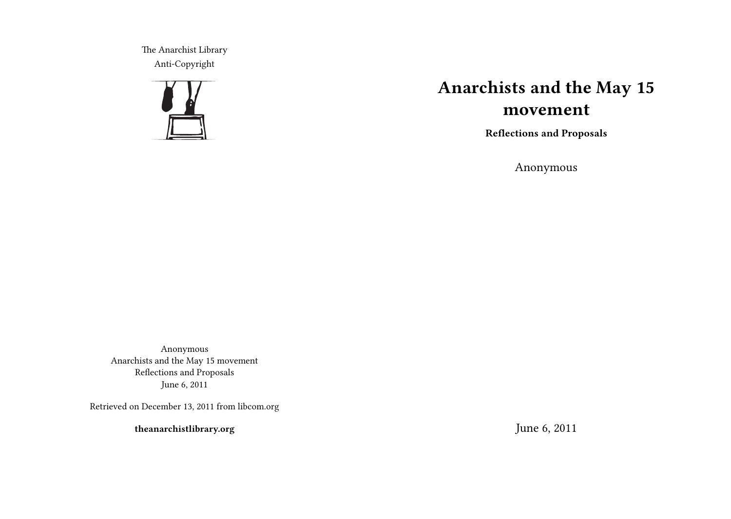The Anarchist Library Anti-Copyright



## **Anarchists and the May 15 movement**

**Reflections and Proposals**

Anonymous

Anonymous Anarchists and the May 15 movement Reflections and Proposals June 6, 2011

Retrieved on December 13, 2011 from libcom.org

**theanarchistlibrary.org**

June 6, 2011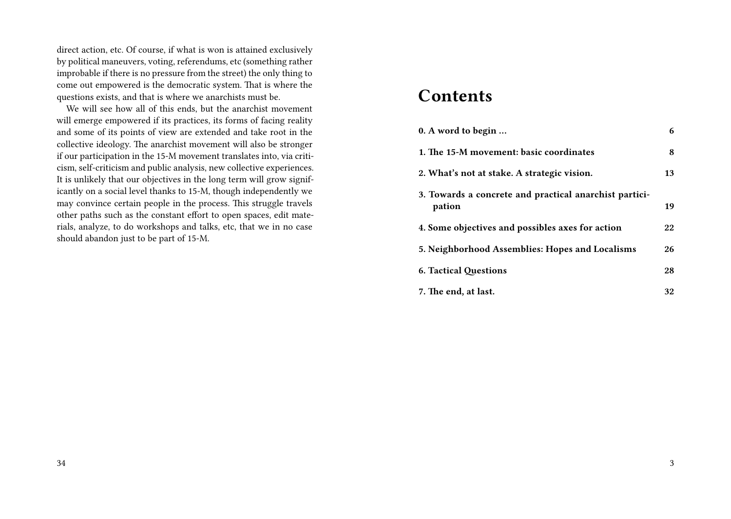direct action, etc. Of course, if what is won is attained exclusively by political maneuvers, voting, referendums, etc (something rather improbable if there is no pressure from the street) the only thing to come out empowered is the democratic system. That is where the questions exists, and that is where we anarchists must be.

We will see how all of this ends, but the anarchist movement will emerge empowered if its practices, its forms of facing reality and some of its points of view are extended and take root in the collective ideology. The anarchist movement will also be stronger if our participation in the 15-M movement translates into, via criticism, self-criticism and public analysis, new collective experiences. It is unlikely that our objectives in the long term will grow significantly on a social level thanks to 15-M, though independently we may convince certain people in the process. This struggle travels other paths such as the constant effort to open spaces, edit materials, analyze, to do workshops and talks, etc, that we in no case should abandon just to be part of 15-M.

### **Contents**

| 0. A word to begin                                               | 6  |
|------------------------------------------------------------------|----|
| 1. The 15-M movement: basic coordinates                          | 8  |
| 2. What's not at stake. A strategic vision.                      | 13 |
| 3. Towards a concrete and practical anarchist partici-<br>pation | 19 |
| 4. Some objectives and possibles axes for action                 | 22 |
| 5. Neighborhood Assemblies: Hopes and Localisms                  | 26 |
| <b>6. Tactical Questions</b>                                     | 28 |
| 7. The end, at last.                                             | 32 |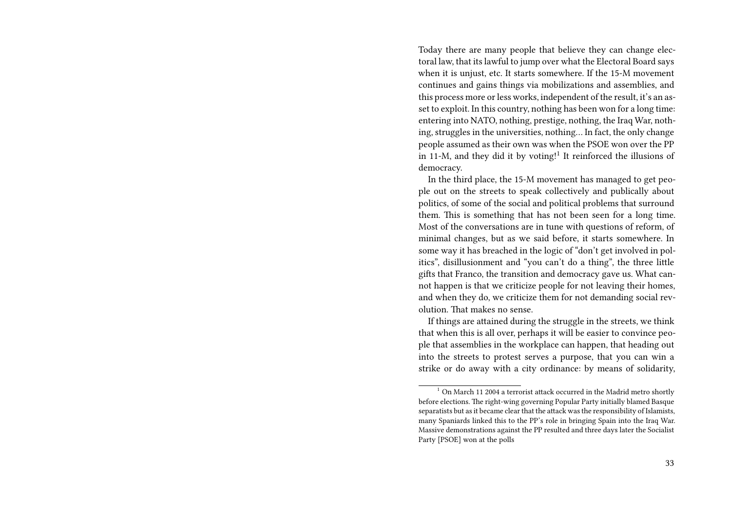Today there are many people that believe they can change electoral law, that its lawful to jump over what the Electoral Board says when it is unjust, etc. It starts somewhere. If the 15-M movement continues and gains things via mobilizations and assemblies, and this process more or less works, independent of the result, it's an asset to exploit. In this country, nothing has been won for a long time: entering into NATO, nothing, prestige, nothing, the Iraq War, nothing, struggles in the universities, nothing… In fact, the only change people assumed as their own was when the PSOE won over the PP in 11-M, and they did it by voting!<sup>1</sup> It reinforced the illusions of democracy.

In the third place, the 15-M movement has managed to get people out on the streets to speak collectively and publically about politics, of some of the social and political problems that surround them. This is something that has not been seen for a long time. Most of the conversations are in tune with questions of reform, of minimal changes, but as we said before, it starts somewhere. In some way it has breached in the logic of "don't get involved in politics", disillusionment and "you can't do a thing", the three little gifts that Franco, the transition and democracy gave us. What cannot happen is that we criticize people for not leaving their homes, and when they do, we criticize them for not demanding social revolution. That makes no sense.

If things are attained during the struggle in the streets, we think that when this is all over, perhaps it will be easier to convince people that assemblies in the workplace can happen, that heading out into the streets to protest serves a purpose, that you can win a strike or do away with a city ordinance: by means of solidarity,

 $1$  On March 11 2004 a terrorist attack occurred in the Madrid metro shortly before elections. The right-wing governing Popular Party initially blamed Basque separatists but as it became clear that the attack was the responsibility of Islamists, many Spaniards linked this to the PP's role in bringing Spain into the Iraq War. Massive demonstrations against the PP resulted and three days later the Socialist Party [PSOE] won at the polls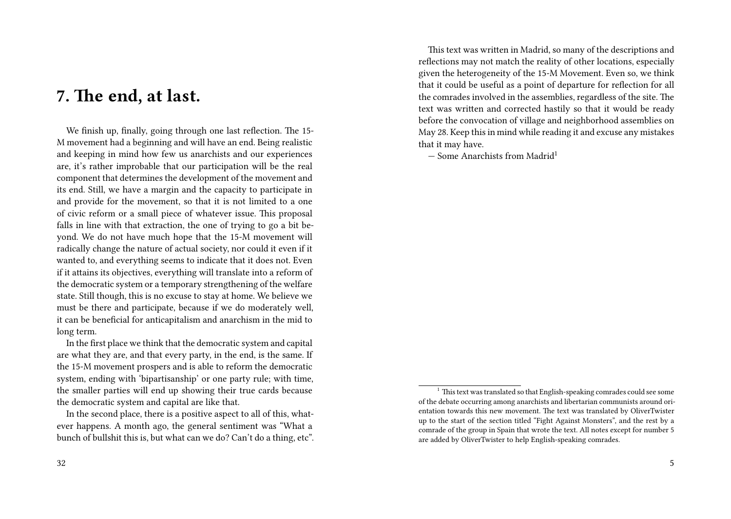### **7. The end, at last.**

We finish up, finally, going through one last reflection. The 15- M movement had a beginning and will have an end. Being realistic and keeping in mind how few us anarchists and our experiences are, it's rather improbable that our participation will be the real component that determines the development of the movement and its end. Still, we have a margin and the capacity to participate in and provide for the movement, so that it is not limited to a one of civic reform or a small piece of whatever issue. This proposal falls in line with that extraction, the one of trying to go a bit beyond. We do not have much hope that the 15-M movement will radically change the nature of actual society, nor could it even if it wanted to, and everything seems to indicate that it does not. Even if it attains its objectives, everything will translate into a reform of the democratic system or a temporary strengthening of the welfare state. Still though, this is no excuse to stay at home. We believe we must be there and participate, because if we do moderately well, it can be beneficial for anticapitalism and anarchism in the mid to long term.

In the first place we think that the democratic system and capital are what they are, and that every party, in the end, is the same. If the 15-M movement prospers and is able to reform the democratic system, ending with 'bipartisanship' or one party rule; with time, the smaller parties will end up showing their true cards because the democratic system and capital are like that.

In the second place, there is a positive aspect to all of this, whatever happens. A month ago, the general sentiment was "What a bunch of bullshit this is, but what can we do? Can't do a thing, etc".

This text was written in Madrid, so many of the descriptions and reflections may not match the reality of other locations, especially given the heterogeneity of the 15-M Movement. Even so, we think that it could be useful as a point of departure for reflection for all the comrades involved in the assemblies, regardless of the site. The text was written and corrected hastily so that it would be ready before the convocation of village and neighborhood assemblies on May 28. Keep this in mind while reading it and excuse any mistakes that it may have.

 $-$  Some Anarchists from Madrid<sup>1</sup>

 $1$  This text was translated so that English-speaking comrades could see some of the debate occurring among anarchists and libertarian communists around orientation towards this new movement. The text was translated by OliverTwister up to the start of the section titled "Fight Against Monsters", and the rest by a comrade of the group in Spain that wrote the text. All notes except for number 5 are added by OliverTwister to help English-speaking comrades.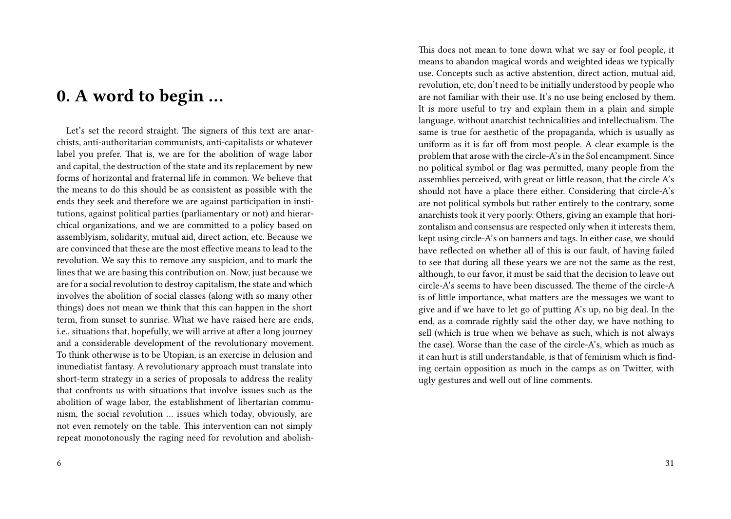### **0. A word to begin …**

Let's set the record straight. The signers of this text are anarchists, anti-authoritarian communists, anti-capitalists or whatever label you prefer. That is, we are for the abolition of wage labor and capital, the destruction of the state and its replacement by new forms of horizontal and fraternal life in common. We believe that the means to do this should be as consistent as possible with the ends they seek and therefore we are against participation in institutions, against political parties (parliamentary or not) and hierarchical organizations, and we are committed to a policy based on assemblyism, solidarity, mutual aid, direct action, etc. Because we are convinced that these are the most effective means to lead to the revolution. We say this to remove any suspicion, and to mark the lines that we are basing this contribution on. Now, just because we are for a social revolution to destroy capitalism, the state and which involves the abolition of social classes (along with so many other things) does not mean we think that this can happen in the short term, from sunset to sunrise. What we have raised here are ends, i.e., situations that, hopefully, we will arrive at after a long journey and a considerable development of the revolutionary movement. To think otherwise is to be Utopian, is an exercise in delusion and immediatist fantasy. A revolutionary approach must translate into short-term strategy in a series of proposals to address the reality that confronts us with situations that involve issues such as the abolition of wage labor, the establishment of libertarian communism, the social revolution … issues which today, obviously, are not even remotely on the table. This intervention can not simply repeat monotonously the raging need for revolution and abolishThis does not mean to tone down what we say or fool people, it means to abandon magical words and weighted ideas we typically use. Concepts such as active abstention, direct action, mutual aid, revolution, etc, don't need to be initially understood by people who are not familiar with their use. It's no use being enclosed by them. It is more useful to try and explain them in a plain and simple language, without anarchist technicalities and intellectualism. The same is true for aesthetic of the propaganda, which is usually as uniform as it is far off from most people. A clear example is the problem that arose with the circle-A's in the Sol encampment. Since no political symbol or flag was permitted, many people from the assemblies perceived, with great or little reason, that the circle A's should not have a place there either. Considering that circle-A's are not political symbols but rather entirely to the contrary, some anarchists took it very poorly. Others, giving an example that horizontalism and consensus are respected only when it interests them, kept using circle-A's on banners and tags. In either case, we should have reflected on whether all of this is our fault, of having failed to see that during all these years we are not the same as the rest, although, to our favor, it must be said that the decision to leave out circle-A's seems to have been discussed. The theme of the circle-A is of little importance, what matters are the messages we want to give and if we have to let go of putting A's up, no big deal. In the end, as a comrade rightly said the other day, we have nothing to sell (which is true when we behave as such, which is not always the case). Worse than the case of the circle-A's, which as much as it can hurt is still understandable, is that of feminism which is finding certain opposition as much in the camps as on Twitter, with ugly gestures and well out of line comments.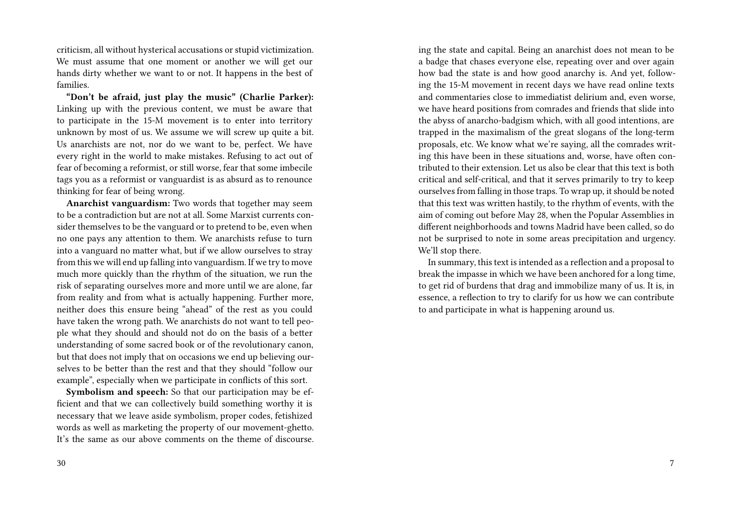criticism, all without hysterical accusations or stupid victimization. We must assume that one moment or another we will get our hands dirty whether we want to or not. It happens in the best of families.

**"Don't be afraid, just play the music" (Charlie Parker):** Linking up with the previous content, we must be aware that to participate in the 15-M movement is to enter into territory unknown by most of us. We assume we will screw up quite a bit. Us anarchists are not, nor do we want to be, perfect. We have every right in the world to make mistakes. Refusing to act out of fear of becoming a reformist, or still worse, fear that some imbecile tags you as a reformist or vanguardist is as absurd as to renounce thinking for fear of being wrong.

**Anarchist vanguardism:** Two words that together may seem to be a contradiction but are not at all. Some Marxist currents consider themselves to be the vanguard or to pretend to be, even when no one pays any attention to them. We anarchists refuse to turn into a vanguard no matter what, but if we allow ourselves to stray from this we will end up falling into vanguardism. If we try to move much more quickly than the rhythm of the situation, we run the risk of separating ourselves more and more until we are alone, far from reality and from what is actually happening. Further more, neither does this ensure being "ahead" of the rest as you could have taken the wrong path. We anarchists do not want to tell people what they should and should not do on the basis of a better understanding of some sacred book or of the revolutionary canon, but that does not imply that on occasions we end up believing ourselves to be better than the rest and that they should "follow our example", especially when we participate in conflicts of this sort.

**Symbolism and speech:** So that our participation may be efficient and that we can collectively build something worthy it is necessary that we leave aside symbolism, proper codes, fetishized words as well as marketing the property of our movement-ghetto. It's the same as our above comments on the theme of discourse.

ing the state and capital. Being an anarchist does not mean to be a badge that chases everyone else, repeating over and over again how bad the state is and how good anarchy is. And yet, following the 15-M movement in recent days we have read online texts and commentaries close to immediatist delirium and, even worse, we have heard positions from comrades and friends that slide into the abyss of anarcho-badgism which, with all good intentions, are trapped in the maximalism of the great slogans of the long-term proposals, etc. We know what we're saying, all the comrades writing this have been in these situations and, worse, have often contributed to their extension. Let us also be clear that this text is both critical and self-critical, and that it serves primarily to try to keep ourselves from falling in those traps. To wrap up, it should be noted that this text was written hastily, to the rhythm of events, with the aim of coming out before May 28, when the Popular Assemblies in different neighborhoods and towns Madrid have been called, so do not be surprised to note in some areas precipitation and urgency. We'll stop there.

In summary, this text is intended as a reflection and a proposal to break the impasse in which we have been anchored for a long time, to get rid of burdens that drag and immobilize many of us. It is, in essence, a reflection to try to clarify for us how we can contribute to and participate in what is happening around us.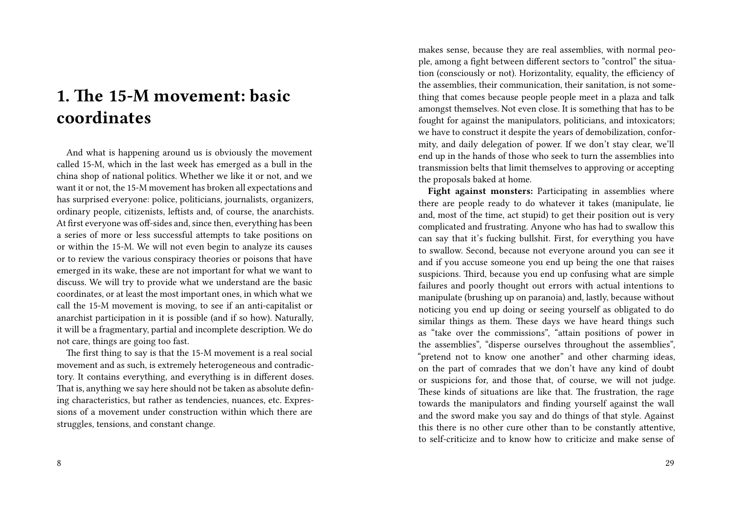## **1. The 15-M movement: basic coordinates**

And what is happening around us is obviously the movement called 15-M, which in the last week has emerged as a bull in the china shop of national politics. Whether we like it or not, and we want it or not, the 15-M movement has broken all expectations and has surprised everyone: police, politicians, journalists, organizers, ordinary people, citizenists, leftists and, of course, the anarchists. At first everyone was off-sides and, since then, everything has been a series of more or less successful attempts to take positions on or within the 15-M. We will not even begin to analyze its causes or to review the various conspiracy theories or poisons that have emerged in its wake, these are not important for what we want to discuss. We will try to provide what we understand are the basic coordinates, or at least the most important ones, in which what we call the 15-M movement is moving, to see if an anti-capitalist or anarchist participation in it is possible (and if so how). Naturally, it will be a fragmentary, partial and incomplete description. We do not care, things are going too fast.

The first thing to say is that the 15-M movement is a real social movement and as such, is extremely heterogeneous and contradictory. It contains everything, and everything is in different doses. That is, anything we say here should not be taken as absolute defining characteristics, but rather as tendencies, nuances, etc. Expressions of a movement under construction within which there are struggles, tensions, and constant change.

makes sense, because they are real assemblies, with normal people, among a fight between different sectors to "control" the situation (consciously or not). Horizontality, equality, the efficiency of the assemblies, their communication, their sanitation, is not something that comes because people people meet in a plaza and talk amongst themselves. Not even close. It is something that has to be fought for against the manipulators, politicians, and intoxicators; we have to construct it despite the years of demobilization, conformity, and daily delegation of power. If we don't stay clear, we'll end up in the hands of those who seek to turn the assemblies into transmission belts that limit themselves to approving or accepting the proposals baked at home.

**Fight against monsters:** Participating in assemblies where there are people ready to do whatever it takes (manipulate, lie and, most of the time, act stupid) to get their position out is very complicated and frustrating. Anyone who has had to swallow this can say that it's fucking bullshit. First, for everything you have to swallow. Second, because not everyone around you can see it and if you accuse someone you end up being the one that raises suspicions. Third, because you end up confusing what are simple failures and poorly thought out errors with actual intentions to manipulate (brushing up on paranoia) and, lastly, because without noticing you end up doing or seeing yourself as obligated to do similar things as them. These days we have heard things such as "take over the commissions", "attain positions of power in the assemblies", "disperse ourselves throughout the assemblies", "pretend not to know one another" and other charming ideas, on the part of comrades that we don't have any kind of doubt or suspicions for, and those that, of course, we will not judge. These kinds of situations are like that. The frustration, the rage towards the manipulators and finding yourself against the wall and the sword make you say and do things of that style. Against this there is no other cure other than to be constantly attentive, to self-criticize and to know how to criticize and make sense of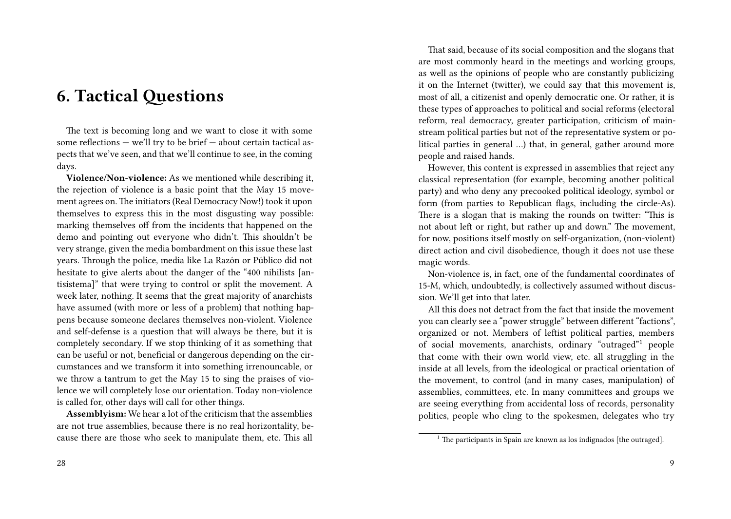### **6. Tactical Questions**

The text is becoming long and we want to close it with some some reflections — we'll try to be brief — about certain tactical aspects that we've seen, and that we'll continue to see, in the coming days.

**Violence/Non-violence:** As we mentioned while describing it, the rejection of violence is a basic point that the May 15 movement agrees on. The initiators (Real Democracy Now!) took it upon themselves to express this in the most disgusting way possible: marking themselves off from the incidents that happened on the demo and pointing out everyone who didn't. This shouldn't be very strange, given the media bombardment on this issue these last years. Through the police, media like La Razón or Público did not hesitate to give alerts about the danger of the "400 nihilists [antisistema]" that were trying to control or split the movement. A week later, nothing. It seems that the great majority of anarchists have assumed (with more or less of a problem) that nothing happens because someone declares themselves non-violent. Violence and self-defense is a question that will always be there, but it is completely secondary. If we stop thinking of it as something that can be useful or not, beneficial or dangerous depending on the circumstances and we transform it into something irrenouncable, or we throw a tantrum to get the May 15 to sing the praises of violence we will completely lose our orientation. Today non-violence is called for, other days will call for other things.

**Assemblyism:** We hear a lot of the criticism that the assemblies are not true assemblies, because there is no real horizontality, because there are those who seek to manipulate them, etc. This all

That said, because of its social composition and the slogans that are most commonly heard in the meetings and working groups, as well as the opinions of people who are constantly publicizing it on the Internet (twitter), we could say that this movement is, most of all, a citizenist and openly democratic one. Or rather, it is these types of approaches to political and social reforms (electoral reform, real democracy, greater participation, criticism of mainstream political parties but not of the representative system or political parties in general …) that, in general, gather around more people and raised hands.

However, this content is expressed in assemblies that reject any classical representation (for example, becoming another political party) and who deny any precooked political ideology, symbol or form (from parties to Republican flags, including the circle-As). There is a slogan that is making the rounds on twitter: "This is not about left or right, but rather up and down." The movement, for now, positions itself mostly on self-organization, (non-violent) direct action and civil disobedience, though it does not use these magic words.

Non-violence is, in fact, one of the fundamental coordinates of 15-M, which, undoubtedly, is collectively assumed without discussion. We'll get into that later.

All this does not detract from the fact that inside the movement you can clearly see a "power struggle" between different "factions", organized or not. Members of leftist political parties, members of social movements, anarchists, ordinary "outraged"<sup>1</sup> people that come with their own world view, etc. all struggling in the inside at all levels, from the ideological or practical orientation of the movement, to control (and in many cases, manipulation) of assemblies, committees, etc. In many committees and groups we are seeing everything from accidental loss of records, personality politics, people who cling to the spokesmen, delegates who try

 $1$ <sup>1</sup> The participants in Spain are known as los indignados [the outraged].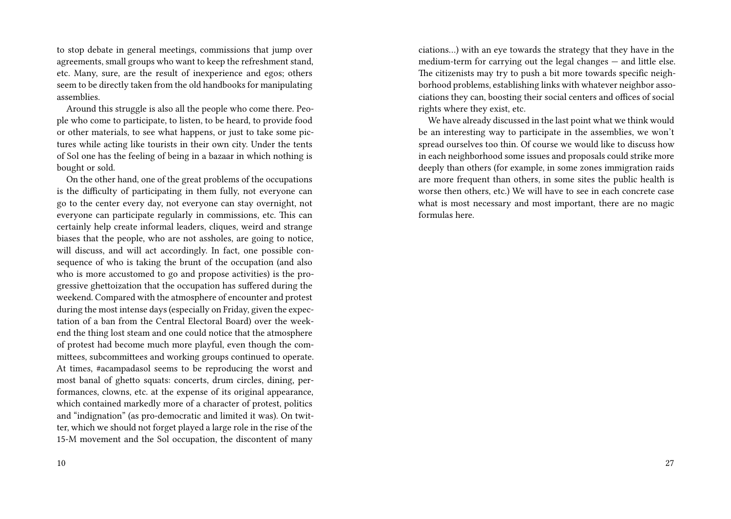to stop debate in general meetings, commissions that jump over agreements, small groups who want to keep the refreshment stand, etc. Many, sure, are the result of inexperience and egos; others seem to be directly taken from the old handbooks for manipulating assemblies.

Around this struggle is also all the people who come there. People who come to participate, to listen, to be heard, to provide food or other materials, to see what happens, or just to take some pictures while acting like tourists in their own city. Under the tents of Sol one has the feeling of being in a bazaar in which nothing is bought or sold.

On the other hand, one of the great problems of the occupations is the difficulty of participating in them fully, not everyone can go to the center every day, not everyone can stay overnight, not everyone can participate regularly in commissions, etc. This can certainly help create informal leaders, cliques, weird and strange biases that the people, who are not assholes, are going to notice, will discuss, and will act accordingly. In fact, one possible consequence of who is taking the brunt of the occupation (and also who is more accustomed to go and propose activities) is the progressive ghettoization that the occupation has suffered during the weekend. Compared with the atmosphere of encounter and protest during the most intense days (especially on Friday, given the expectation of a ban from the Central Electoral Board) over the weekend the thing lost steam and one could notice that the atmosphere of protest had become much more playful, even though the committees, subcommittees and working groups continued to operate. At times, #acampadasol seems to be reproducing the worst and most banal of ghetto squats: concerts, drum circles, dining, performances, clowns, etc. at the expense of its original appearance, which contained markedly more of a character of protest, politics and "indignation" (as pro-democratic and limited it was). On twitter, which we should not forget played a large role in the rise of the 15-M movement and the Sol occupation, the discontent of many

10

ciations…) with an eye towards the strategy that they have in the medium-term for carrying out the legal changes — and little else. The citizenists may try to push a bit more towards specific neighborhood problems, establishing links with whatever neighbor associations they can, boosting their social centers and offices of social rights where they exist, etc.

We have already discussed in the last point what we think would be an interesting way to participate in the assemblies, we won't spread ourselves too thin. Of course we would like to discuss how in each neighborhood some issues and proposals could strike more deeply than others (for example, in some zones immigration raids are more frequent than others, in some sites the public health is worse then others, etc.) We will have to see in each concrete case what is most necessary and most important, there are no magic formulas here.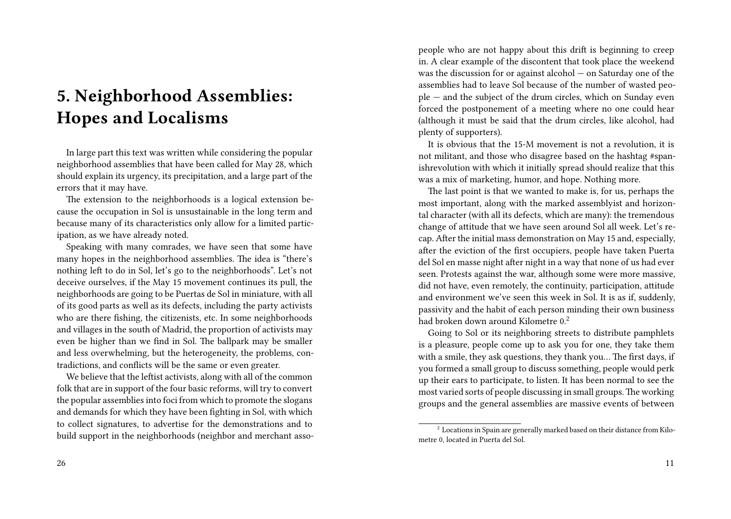## **5. Neighborhood Assemblies: Hopes and Localisms**

In large part this text was written while considering the popular neighborhood assemblies that have been called for May 28, which should explain its urgency, its precipitation, and a large part of the errors that it may have.

The extension to the neighborhoods is a logical extension because the occupation in Sol is unsustainable in the long term and because many of its characteristics only allow for a limited participation, as we have already noted.

Speaking with many comrades, we have seen that some have many hopes in the neighborhood assemblies. The idea is "there's nothing left to do in Sol, let's go to the neighborhoods". Let's not deceive ourselves, if the May 15 movement continues its pull, the neighborhoods are going to be Puertas de Sol in miniature, with all of its good parts as well as its defects, including the party activists who are there fishing, the citizenists, etc. In some neighborhoods and villages in the south of Madrid, the proportion of activists may even be higher than we find in Sol. The ballpark may be smaller and less overwhelming, but the heterogeneity, the problems, contradictions, and conflicts will be the same or even greater.

We believe that the leftist activists, along with all of the common folk that are in support of the four basic reforms, will try to convert the popular assemblies into foci from which to promote the slogans and demands for which they have been fighting in Sol, with which to collect signatures, to advertise for the demonstrations and to build support in the neighborhoods (neighbor and merchant assopeople who are not happy about this drift is beginning to creep in. A clear example of the discontent that took place the weekend was the discussion for or against alcohol — on Saturday one of the assemblies had to leave Sol because of the number of wasted people — and the subject of the drum circles, which on Sunday even forced the postponement of a meeting where no one could hear (although it must be said that the drum circles, like alcohol, had plenty of supporters).

It is obvious that the 15-M movement is not a revolution, it is not militant, and those who disagree based on the hashtag #spanishrevolution with which it initially spread should realize that this was a mix of marketing, humor, and hope. Nothing more.

The last point is that we wanted to make is, for us, perhaps the most important, along with the marked assemblyist and horizontal character (with all its defects, which are many): the tremendous change of attitude that we have seen around Sol all week. Let's recap. After the initial mass demonstration on May 15 and, especially, after the eviction of the first occupiers, people have taken Puerta del Sol en masse night after night in a way that none of us had ever seen. Protests against the war, although some were more massive, did not have, even remotely, the continuity, participation, attitude and environment we've seen this week in Sol. It is as if, suddenly, passivity and the habit of each person minding their own business had broken down around Kilometre 0.<sup>2</sup>

Going to Sol or its neighboring streets to distribute pamphlets is a pleasure, people come up to ask you for one, they take them with a smile, they ask questions, they thank you… The first days, if you formed a small group to discuss something, people would perk up their ears to participate, to listen. It has been normal to see the most varied sorts of people discussing in small groups.The working groups and the general assemblies are massive events of between

 $^{\rm 2}$  Locations in Spain are generally marked based on their distance from Kilometre 0, located in Puerta del Sol.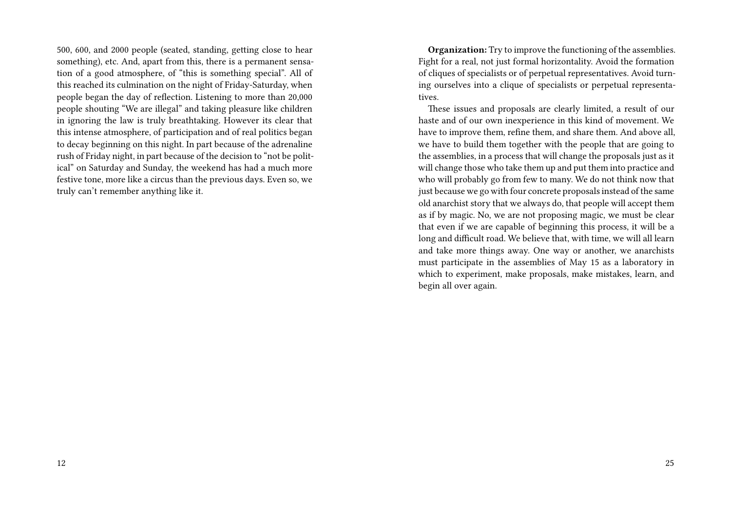500, 600, and 2000 people (seated, standing, getting close to hear something), etc. And, apart from this, there is a permanent sensation of a good atmosphere, of "this is something special". All of this reached its culmination on the night of Friday-Saturday, when people began the day of reflection. Listening to more than 20,000 people shouting "We are illegal" and taking pleasure like children in ignoring the law is truly breathtaking. However its clear that this intense atmosphere, of participation and of real politics began to decay beginning on this night. In part because of the adrenaline rush of Friday night, in part because of the decision to "not be political" on Saturday and Sunday, the weekend has had a much more festive tone, more like a circus than the previous days. Even so, we truly can't remember anything like it.

**Organization:** Try to improve the functioning of the assemblies. Fight for a real, not just formal horizontality. Avoid the formation of cliques of specialists or of perpetual representatives. Avoid turning ourselves into a clique of specialists or perpetual representatives.

These issues and proposals are clearly limited, a result of our haste and of our own inexperience in this kind of movement. We have to improve them, refine them, and share them. And above all, we have to build them together with the people that are going to the assemblies, in a process that will change the proposals just as it will change those who take them up and put them into practice and who will probably go from few to many. We do not think now that just because we go with four concrete proposals instead of the same old anarchist story that we always do, that people will accept them as if by magic. No, we are not proposing magic, we must be clear that even if we are capable of beginning this process, it will be a long and difficult road. We believe that, with time, we will all learn and take more things away. One way or another, we anarchists must participate in the assemblies of May 15 as a laboratory in which to experiment, make proposals, make mistakes, learn, and begin all over again.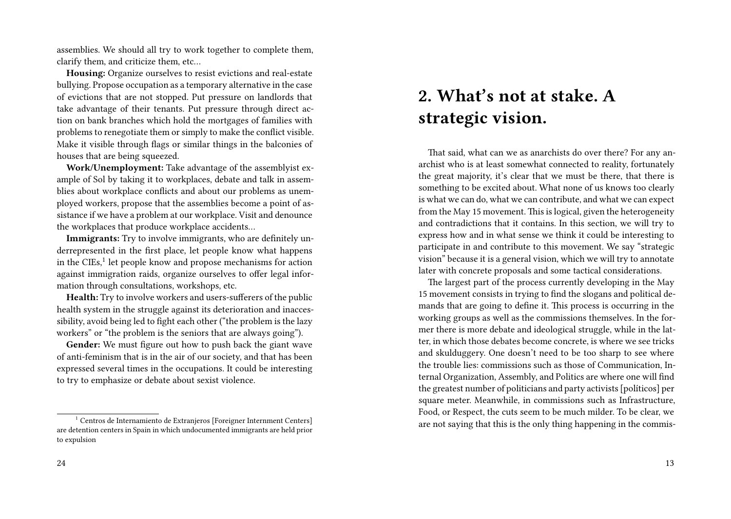assemblies. We should all try to work together to complete them, clarify them, and criticize them, etc…

**Housing:** Organize ourselves to resist evictions and real-estate bullying. Propose occupation as a temporary alternative in the case of evictions that are not stopped. Put pressure on landlords that take advantage of their tenants. Put pressure through direct action on bank branches which hold the mortgages of families with problems to renegotiate them or simply to make the conflict visible. Make it visible through flags or similar things in the balconies of houses that are being squeezed.

**Work/Unemployment:** Take advantage of the assemblyist example of Sol by taking it to workplaces, debate and talk in assemblies about workplace conflicts and about our problems as unemployed workers, propose that the assemblies become a point of assistance if we have a problem at our workplace. Visit and denounce the workplaces that produce workplace accidents…

**Immigrants:** Try to involve immigrants, who are definitely underrepresented in the first place, let people know what happens in the CIEs,<sup>1</sup> let people know and propose mechanisms for action against immigration raids, organize ourselves to offer legal information through consultations, workshops, etc.

**Health:** Try to involve workers and users-sufferers of the public health system in the struggle against its deterioration and inaccessibility, avoid being led to fight each other ("the problem is the lazy workers" or "the problem is the seniors that are always going").

**Gender:** We must figure out how to push back the giant wave of anti-feminism that is in the air of our society, and that has been expressed several times in the occupations. It could be interesting to try to emphasize or debate about sexist violence.

### **2. What's not at stake. A strategic vision.**

That said, what can we as anarchists do over there? For any anarchist who is at least somewhat connected to reality, fortunately the great majority, it's clear that we must be there, that there is something to be excited about. What none of us knows too clearly is what we can do, what we can contribute, and what we can expect from the May 15 movement. This is logical, given the heterogeneity and contradictions that it contains. In this section, we will try to express how and in what sense we think it could be interesting to participate in and contribute to this movement. We say "strategic vision" because it is a general vision, which we will try to annotate later with concrete proposals and some tactical considerations.

The largest part of the process currently developing in the May 15 movement consists in trying to find the slogans and political demands that are going to define it. This process is occurring in the working groups as well as the commissions themselves. In the former there is more debate and ideological struggle, while in the latter, in which those debates become concrete, is where we see tricks and skulduggery. One doesn't need to be too sharp to see where the trouble lies: commissions such as those of Communication, Internal Organization, Assembly, and Politics are where one will find the greatest number of politicians and party activists [políticos] per square meter. Meanwhile, in commissions such as Infrastructure, Food, or Respect, the cuts seem to be much milder. To be clear, we are not saying that this is the only thing happening in the commis-

<sup>1</sup> Centros de Internamiento de Extranjeros [Foreigner Internment Centers] are detention centers in Spain in which undocumented immigrants are held prior to expulsion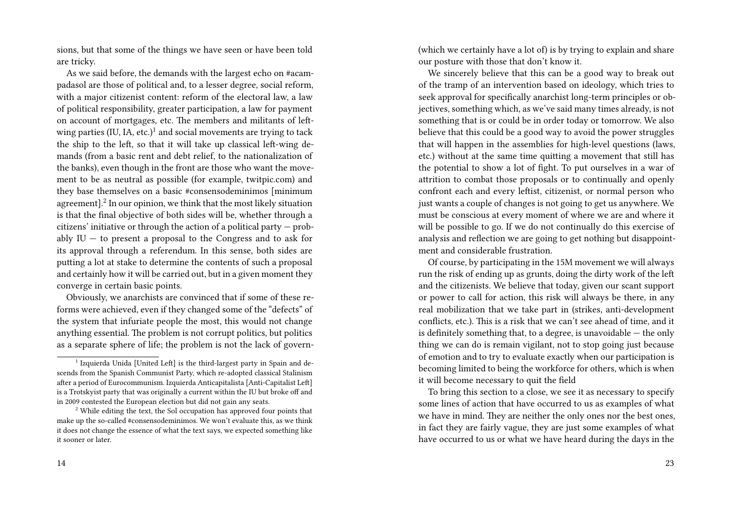sions, but that some of the things we have seen or have been told are tricky.

As we said before, the demands with the largest echo on #acampadasol are those of political and, to a lesser degree, social reform, with a major citizenist content: reform of the electoral law, a law of political responsibility, greater participation, a law for payment on account of mortgages, etc. The members and militants of leftwing parties (IU, IA, etc.)<sup>1</sup> and social movements are trying to tack the ship to the left, so that it will take up classical left-wing demands (from a basic rent and debt relief, to the nationalization of the banks), even though in the front are those who want the movement to be as neutral as possible (for example, twitpic.com) and they base themselves on a basic #consensodeminimos [minimum agreement]. $^2$  In our opinion, we think that the most likely situation is that the final objective of both sides will be, whether through a citizens' initiative or through the action of a political party — probably  $IU$  – to present a proposal to the Congress and to ask for its approval through a referendum. In this sense, both sides are putting a lot at stake to determine the contents of such a proposal and certainly how it will be carried out, but in a given moment they converge in certain basic points.

Obviously, we anarchists are convinced that if some of these reforms were achieved, even if they changed some of the "defects" of the system that infuriate people the most, this would not change anything essential. The problem is not corrupt politics, but politics as a separate sphere of life; the problem is not the lack of govern(which we certainly have a lot of) is by trying to explain and share our posture with those that don't know it.

We sincerely believe that this can be a good way to break out of the tramp of an intervention based on ideology, which tries to seek approval for specifically anarchist long-term principles or objectives, something which, as we've said many times already, is not something that is or could be in order today or tomorrow. We also believe that this could be a good way to avoid the power struggles that will happen in the assemblies for high-level questions (laws, etc.) without at the same time quitting a movement that still has the potential to show a lot of fight. To put ourselves in a war of attrition to combat those proposals or to continually and openly confront each and every leftist, citizenist, or normal person who just wants a couple of changes is not going to get us anywhere. We must be conscious at every moment of where we are and where it will be possible to go. If we do not continually do this exercise of analysis and reflection we are going to get nothing but disappointment and considerable frustration.

Of course, by participating in the 15M movement we will always run the risk of ending up as grunts, doing the dirty work of the left and the citizenists. We believe that today, given our scant support or power to call for action, this risk will always be there, in any real mobilization that we take part in (strikes, anti-development conflicts, etc.). This is a risk that we can't see ahead of time, and it is definitely something that, to a degree, is unavoidable  $-$  the only thing we can do is remain vigilant, not to stop going just because of emotion and to try to evaluate exactly when our participation is becoming limited to being the workforce for others, which is when it will become necessary to quit the field

To bring this section to a close, we see it as necessary to specify some lines of action that have occurred to us as examples of what we have in mind. They are neither the only ones nor the best ones, in fact they are fairly vague, they are just some examples of what have occurred to us or what we have heard during the days in the

<sup>&</sup>lt;sup>1</sup> Izquierda Unida [United Left] is the third-largest party in Spain and descends from the Spanish Communist Party, which re-adopted classical Stalinism after a period of Eurocommunism. Izquierda Anticapitalista [Anti-Capitalist Left] is a Trotskyist party that was originally a current within the IU but broke off and in 2009 contested the European election but did not gain any seats.

 $2$ <sup>2</sup> While editing the text, the Sol occupation has approved four points that make up the so-called #consensodeminimos. We won't evaluate this, as we think it does not change the essence of what the text says, we expected something like it sooner or later.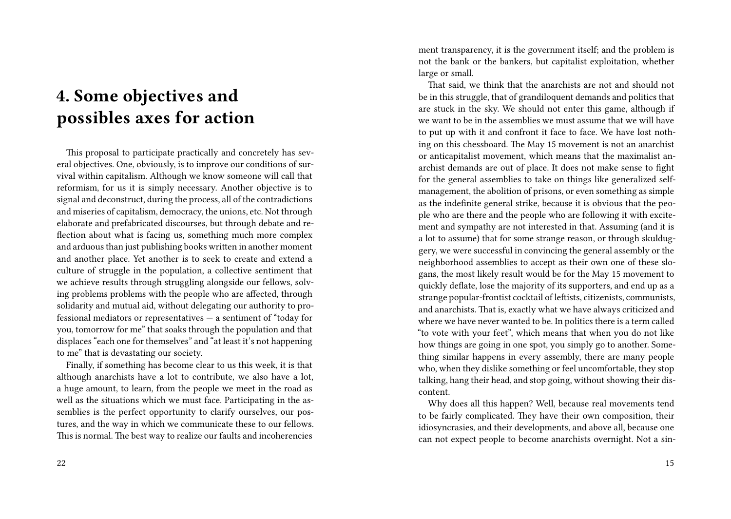## **4. Some objectives and possibles axes for action**

This proposal to participate practically and concretely has several objectives. One, obviously, is to improve our conditions of survival within capitalism. Although we know someone will call that reformism, for us it is simply necessary. Another objective is to signal and deconstruct, during the process, all of the contradictions and miseries of capitalism, democracy, the unions, etc. Not through elaborate and prefabricated discourses, but through debate and reflection about what is facing us, something much more complex and arduous than just publishing books written in another moment and another place. Yet another is to seek to create and extend a culture of struggle in the population, a collective sentiment that we achieve results through struggling alongside our fellows, solving problems problems with the people who are affected, through solidarity and mutual aid, without delegating our authority to professional mediators or representatives — a sentiment of "today for you, tomorrow for me" that soaks through the population and that displaces "each one for themselves" and "at least it's not happening to me" that is devastating our society.

Finally, if something has become clear to us this week, it is that although anarchists have a lot to contribute, we also have a lot, a huge amount, to learn, from the people we meet in the road as well as the situations which we must face. Participating in the assemblies is the perfect opportunity to clarify ourselves, our postures, and the way in which we communicate these to our fellows. This is normal. The best way to realize our faults and incoherencies ment transparency, it is the government itself; and the problem is not the bank or the bankers, but capitalist exploitation, whether large or small.

That said, we think that the anarchists are not and should not be in this struggle, that of grandiloquent demands and politics that are stuck in the sky. We should not enter this game, although if we want to be in the assemblies we must assume that we will have to put up with it and confront it face to face. We have lost nothing on this chessboard. The May 15 movement is not an anarchist or anticapitalist movement, which means that the maximalist anarchist demands are out of place. It does not make sense to fight for the general assemblies to take on things like generalized selfmanagement, the abolition of prisons, or even something as simple as the indefinite general strike, because it is obvious that the people who are there and the people who are following it with excitement and sympathy are not interested in that. Assuming (and it is a lot to assume) that for some strange reason, or through skulduggery, we were successful in convincing the general assembly or the neighborhood assemblies to accept as their own one of these slogans, the most likely result would be for the May 15 movement to quickly deflate, lose the majority of its supporters, and end up as a strange popular-frontist cocktail of leftists, citizenists, communists, and anarchists. That is, exactly what we have always criticized and where we have never wanted to be. In politics there is a term called "to vote with your feet", which means that when you do not like how things are going in one spot, you simply go to another. Something similar happens in every assembly, there are many people who, when they dislike something or feel uncomfortable, they stop talking, hang their head, and stop going, without showing their discontent.

Why does all this happen? Well, because real movements tend to be fairly complicated. They have their own composition, their idiosyncrasies, and their developments, and above all, because one can not expect people to become anarchists overnight. Not a sin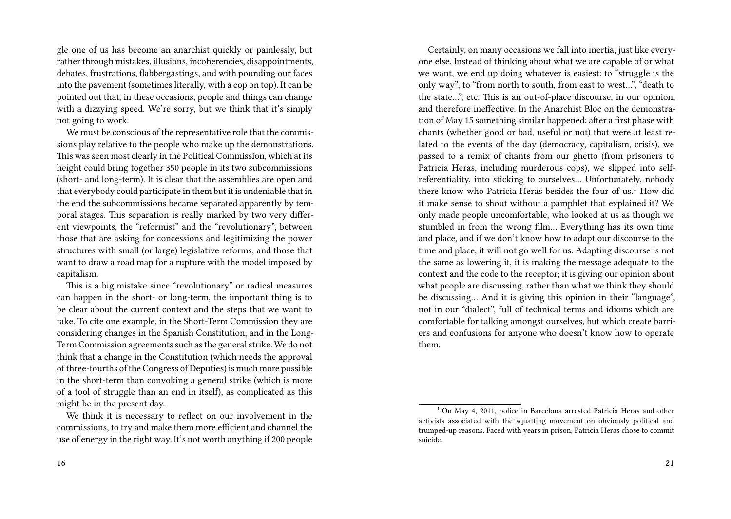gle one of us has become an anarchist quickly or painlessly, but rather through mistakes, illusions, incoherencies, disappointments, debates, frustrations, flabbergastings, and with pounding our faces into the pavement (sometimes literally, with a cop on top). It can be pointed out that, in these occasions, people and things can change with a dizzying speed. We're sorry, but we think that it's simply not going to work.

We must be conscious of the representative role that the commissions play relative to the people who make up the demonstrations. This was seen most clearly in the Political Commission, which at its height could bring together 350 people in its two subcommissions (short- and long-term). It is clear that the assemblies are open and that everybody could participate in them but it is undeniable that in the end the subcommissions became separated apparently by temporal stages. This separation is really marked by two very different viewpoints, the "reformist" and the "revolutionary", between those that are asking for concessions and legitimizing the power structures with small (or large) legislative reforms, and those that want to draw a road map for a rupture with the model imposed by capitalism.

This is a big mistake since "revolutionary" or radical measures can happen in the short- or long-term, the important thing is to be clear about the current context and the steps that we want to take. To cite one example, in the Short-Term Commission they are considering changes in the Spanish Constitution, and in the Long-Term Commission agreements such as the general strike. We do not think that a change in the Constitution (which needs the approval of three-fourths of the Congress of Deputies) is much more possible in the short-term than convoking a general strike (which is more of a tool of struggle than an end in itself), as complicated as this might be in the present day.

We think it is necessary to reflect on our involvement in the commissions, to try and make them more efficient and channel the use of energy in the right way. It's not worth anything if 200 people

Certainly, on many occasions we fall into inertia, just like everyone else. Instead of thinking about what we are capable of or what we want, we end up doing whatever is easiest: to "struggle is the only way", to "from north to south, from east to west…", "death to the state…", etc. This is an out-of-place discourse, in our opinion, and therefore ineffective. In the Anarchist Bloc on the demonstration of May 15 something similar happened: after a first phase with chants (whether good or bad, useful or not) that were at least related to the events of the day (democracy, capitalism, crisis), we passed to a remix of chants from our ghetto (from prisoners to Patricia Heras, including murderous cops), we slipped into selfreferentiality, into sticking to ourselves… Unfortunately, nobody there know who Patricia Heras besides the four of us.<sup>1</sup> How did it make sense to shout without a pamphlet that explained it? We only made people uncomfortable, who looked at us as though we stumbled in from the wrong film… Everything has its own time and place, and if we don't know how to adapt our discourse to the time and place, it will not go well for us. Adapting discourse is not the same as lowering it, it is making the message adequate to the context and the code to the receptor; it is giving our opinion about what people are discussing, rather than what we think they should be discussing… And it is giving this opinion in their "language", not in our "dialect", full of technical terms and idioms which are comfortable for talking amongst ourselves, but which create barriers and confusions for anyone who doesn't know how to operate them.

 $1$  On May 4, 2011, police in Barcelona arrested Patricia Heras and other activists associated with the squatting movement on obviously political and trumped-up reasons. Faced with years in prison, Patricia Heras chose to commit suicide.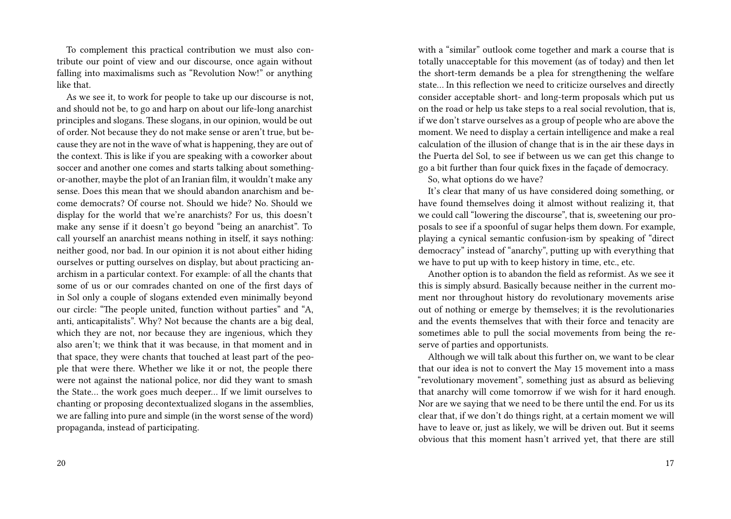To complement this practical contribution we must also contribute our point of view and our discourse, once again without falling into maximalisms such as "Revolution Now!" or anything like that.

As we see it, to work for people to take up our discourse is not, and should not be, to go and harp on about our life-long anarchist principles and slogans. These slogans, in our opinion, would be out of order. Not because they do not make sense or aren't true, but because they are not in the wave of what is happening, they are out of the context. This is like if you are speaking with a coworker about soccer and another one comes and starts talking about somethingor-another, maybe the plot of an Iranian film, it wouldn't make any sense. Does this mean that we should abandon anarchism and become democrats? Of course not. Should we hide? No. Should we display for the world that we're anarchists? For us, this doesn't make any sense if it doesn't go beyond "being an anarchist". To call yourself an anarchist means nothing in itself, it says nothing: neither good, nor bad. In our opinion it is not about either hiding ourselves or putting ourselves on display, but about practicing anarchism in a particular context. For example: of all the chants that some of us or our comrades chanted on one of the first days of in Sol only a couple of slogans extended even minimally beyond our circle: "The people united, function without parties" and "A, anti, anticapitalists". Why? Not because the chants are a big deal, which they are not, nor because they are ingenious, which they also aren't; we think that it was because, in that moment and in that space, they were chants that touched at least part of the people that were there. Whether we like it or not, the people there were not against the national police, nor did they want to smash the State… the work goes much deeper… If we limit ourselves to chanting or proposing decontextualized slogans in the assemblies, we are falling into pure and simple (in the worst sense of the word) propaganda, instead of participating.

with a "similar" outlook come together and mark a course that is totally unacceptable for this movement (as of today) and then let the short-term demands be a plea for strengthening the welfare state… In this reflection we need to criticize ourselves and directly consider acceptable short- and long-term proposals which put us on the road or help us take steps to a real social revolution, that is, if we don't starve ourselves as a group of people who are above the moment. We need to display a certain intelligence and make a real calculation of the illusion of change that is in the air these days in the Puerta del Sol, to see if between us we can get this change to go a bit further than four quick fixes in the façade of democracy.

So, what options do we have?

It's clear that many of us have considered doing something, or have found themselves doing it almost without realizing it, that we could call "lowering the discourse", that is, sweetening our proposals to see if a spoonful of sugar helps them down. For example, playing a cynical semantic confusion-ism by speaking of "direct democracy" instead of "anarchy", putting up with everything that we have to put up with to keep history in time, etc., etc.

Another option is to abandon the field as reformist. As we see it this is simply absurd. Basically because neither in the current moment nor throughout history do revolutionary movements arise out of nothing or emerge by themselves; it is the revolutionaries and the events themselves that with their force and tenacity are sometimes able to pull the social movements from being the reserve of parties and opportunists.

Although we will talk about this further on, we want to be clear that our idea is not to convert the May 15 movement into a mass "revolutionary movement", something just as absurd as believing that anarchy will come tomorrow if we wish for it hard enough. Nor are we saying that we need to be there until the end. For us its clear that, if we don't do things right, at a certain moment we will have to leave or, just as likely, we will be driven out. But it seems obvious that this moment hasn't arrived yet, that there are still